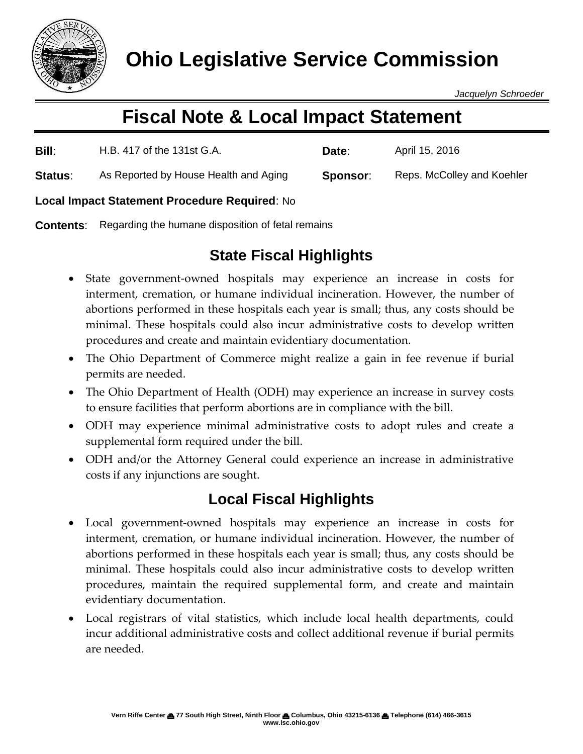

*Jacquelyn Schroeder*

# **Fiscal Note & Local Impact Statement**

| Bill:   | H.B. 417 of the 131st G.A.            | Date:    | April 15, 2016             |
|---------|---------------------------------------|----------|----------------------------|
| Status: | As Reported by House Health and Aging | Sponsor: | Reps. McColley and Koehler |

#### **Local Impact Statement Procedure Required**: No

**Contents:** Regarding the humane disposition of fetal remains

## **State Fiscal Highlights**

- State government-owned hospitals may experience an increase in costs for interment, cremation, or humane individual incineration. However, the number of abortions performed in these hospitals each year is small; thus, any costs should be minimal. These hospitals could also incur administrative costs to develop written procedures and create and maintain evidentiary documentation.
- The Ohio Department of Commerce might realize a gain in fee revenue if burial permits are needed.
- The Ohio Department of Health (ODH) may experience an increase in survey costs to ensure facilities that perform abortions are in compliance with the bill.
- ODH may experience minimal administrative costs to adopt rules and create a supplemental form required under the bill.
- ODH and/or the Attorney General could experience an increase in administrative costs if any injunctions are sought.

### **Local Fiscal Highlights**

- Local government-owned hospitals may experience an increase in costs for interment, cremation, or humane individual incineration. However, the number of abortions performed in these hospitals each year is small; thus, any costs should be minimal. These hospitals could also incur administrative costs to develop written procedures, maintain the required supplemental form, and create and maintain evidentiary documentation.
- Local registrars of vital statistics, which include local health departments, could incur additional administrative costs and collect additional revenue if burial permits are needed.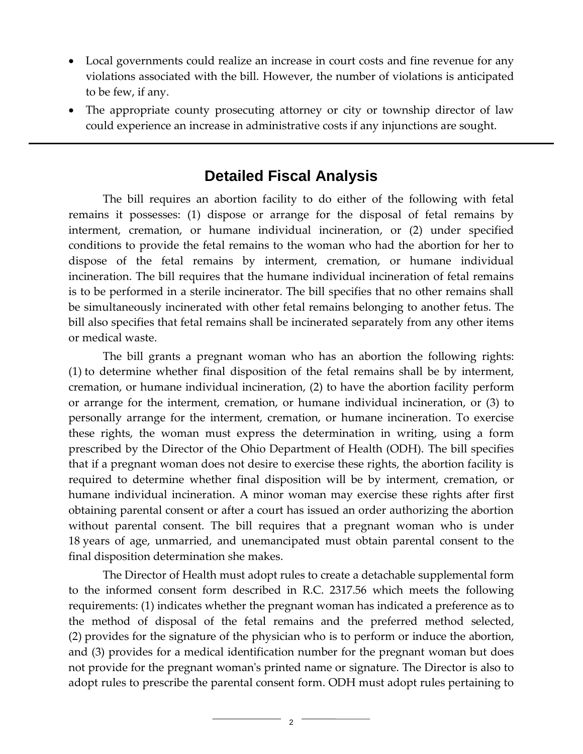- Local governments could realize an increase in court costs and fine revenue for any violations associated with the bill. However, the number of violations is anticipated to be few, if any.
- The appropriate county prosecuting attorney or city or township director of law could experience an increase in administrative costs if any injunctions are sought.

#### **Detailed Fiscal Analysis**

The bill requires an abortion facility to do either of the following with fetal remains it possesses: (1) dispose or arrange for the disposal of fetal remains by interment, cremation, or humane individual incineration, or (2) under specified conditions to provide the fetal remains to the woman who had the abortion for her to dispose of the fetal remains by interment, cremation, or humane individual incineration. The bill requires that the humane individual incineration of fetal remains is to be performed in a sterile incinerator. The bill specifies that no other remains shall be simultaneously incinerated with other fetal remains belonging to another fetus. The bill also specifies that fetal remains shall be incinerated separately from any other items or medical waste.

The bill grants a pregnant woman who has an abortion the following rights: (1) to determine whether final disposition of the fetal remains shall be by interment, cremation, or humane individual incineration, (2) to have the abortion facility perform or arrange for the interment, cremation, or humane individual incineration, or (3) to personally arrange for the interment, cremation, or humane incineration. To exercise these rights, the woman must express the determination in writing, using a form prescribed by the Director of the Ohio Department of Health (ODH). The bill specifies that if a pregnant woman does not desire to exercise these rights, the abortion facility is required to determine whether final disposition will be by interment, cremation, or humane individual incineration. A minor woman may exercise these rights after first obtaining parental consent or after a court has issued an order authorizing the abortion without parental consent. The bill requires that a pregnant woman who is under 18 years of age, unmarried, and unemancipated must obtain parental consent to the final disposition determination she makes.

The Director of Health must adopt rules to create a detachable supplemental form to the informed consent form described in R.C. 2317.56 which meets the following requirements: (1) indicates whether the pregnant woman has indicated a preference as to the method of disposal of the fetal remains and the preferred method selected, (2) provides for the signature of the physician who is to perform or induce the abortion, and (3) provides for a medical identification number for the pregnant woman but does not provide for the pregnant woman's printed name or signature. The Director is also to adopt rules to prescribe the parental consent form. ODH must adopt rules pertaining to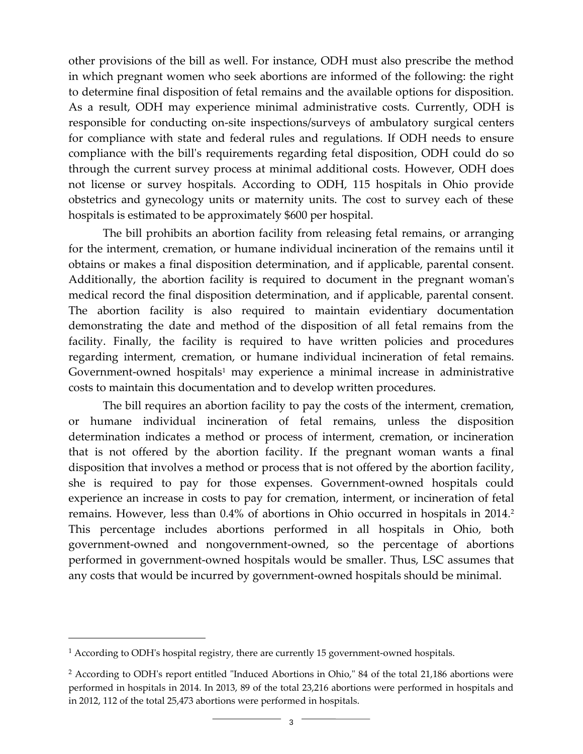other provisions of the bill as well. For instance, ODH must also prescribe the method in which pregnant women who seek abortions are informed of the following: the right to determine final disposition of fetal remains and the available options for disposition. As a result, ODH may experience minimal administrative costs. Currently, ODH is responsible for conducting on-site inspections/surveys of ambulatory surgical centers for compliance with state and federal rules and regulations. If ODH needs to ensure compliance with the bill's requirements regarding fetal disposition, ODH could do so through the current survey process at minimal additional costs. However, ODH does not license or survey hospitals. According to ODH, 115 hospitals in Ohio provide obstetrics and gynecology units or maternity units. The cost to survey each of these hospitals is estimated to be approximately \$600 per hospital.

The bill prohibits an abortion facility from releasing fetal remains, or arranging for the interment, cremation, or humane individual incineration of the remains until it obtains or makes a final disposition determination, and if applicable, parental consent. Additionally, the abortion facility is required to document in the pregnant woman's medical record the final disposition determination, and if applicable, parental consent. The abortion facility is also required to maintain evidentiary documentation demonstrating the date and method of the disposition of all fetal remains from the facility. Finally, the facility is required to have written policies and procedures regarding interment, cremation, or humane individual incineration of fetal remains. Government-owned hospitals<sup>1</sup> may experience a minimal increase in administrative costs to maintain this documentation and to develop written procedures.

The bill requires an abortion facility to pay the costs of the interment, cremation, or humane individual incineration of fetal remains, unless the disposition determination indicates a method or process of interment, cremation, or incineration that is not offered by the abortion facility. If the pregnant woman wants a final disposition that involves a method or process that is not offered by the abortion facility, she is required to pay for those expenses. Government-owned hospitals could experience an increase in costs to pay for cremation, interment, or incineration of fetal remains. However, less than 0.4% of abortions in Ohio occurred in hospitals in 2014. 2 This percentage includes abortions performed in all hospitals in Ohio, both government-owned and nongovernment-owned, so the percentage of abortions performed in government-owned hospitals would be smaller. Thus, LSC assumes that any costs that would be incurred by government-owned hospitals should be minimal.

 $\overline{a}$ 

 $<sup>1</sup>$  According to ODH's hospital registry, there are currently 15 government-owned hospitals.</sup>

<sup>2</sup> According to ODH's report entitled "Induced Abortions in Ohio," 84 of the total 21,186 abortions were performed in hospitals in 2014. In 2013, 89 of the total 23,216 abortions were performed in hospitals and in 2012, 112 of the total 25,473 abortions were performed in hospitals.